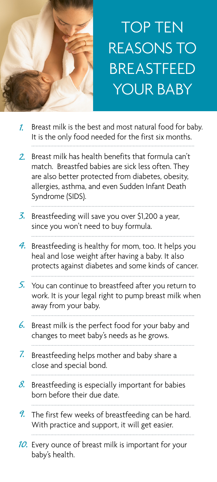

TOP TEN REASONS TO BREASTFEED YOUR BABY

- Breast milk is the best and most natural food for baby. It is the only food needed for the first six months. *1.*
- Breast milk has health benefits that formula can't match. Breastfed babies are sick less often. They are also better protected from diabetes, obesity, allergies, asthma, and even Sudden Infant Death Syndrome (SIDS). *2.*
- Breastfeeding will save you over \$1,200 a year, since you won't need to buy formula. *3.*
- Breastfeeding is healthy for mom, too. It helps you heal and lose weight after having a baby. It also protects against diabetes and some kinds of cancer. *4.*

- You can continue to breastfeed after you return to work. It is your legal right to pump breast milk when away from your baby. *5.*
- Breast milk is the perfect food for your baby and changes to meet baby's needs as he grows. *6.*
- Breastfeeding helps mother and baby share a close and special bond. *7.*
- Breastfeeding is especially important for babies born before their due date. *8.*
- The first few weeks of breastfeeding can be hard. With practice and support, it will get easier. *9.*
- Every ounce of breast milk is important for your *10.*baby's health.